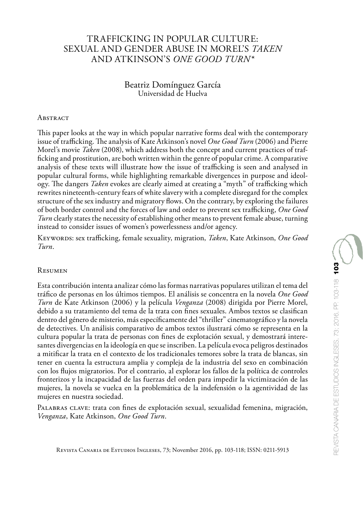## TRAFFICKING IN POPULAR CULTURE: SEXUAL AND GENDER ABUSE IN MOREL'S *TAKEN* AND ATKINSON'S *ONE GOOD TURN\**

#### Beatriz Domínguez García Universidad de Huelva

#### **ABSTRACT**

This paper looks at the way in which popular narrative forms deal with the contemporary issue of trafficking. The analysis of Kate Atkinson's novel *One Good Turn* (2006) and Pierre Morel's movie *Taken* (2008), which address both the concept and current practices of trafficking and prostitution, are both written within the genre of popular crime. A comparative analysis of these texts will illustrate how the issue of trafficking is seen and analysed in popular cultural forms, while highlighting remarkable divergences in purpose and ideology. The dangers *Taken* evokes are clearly aimed at creating a "myth" of trafficking which rewrites nineteenth-century fears of white slavery with a complete disregard for the complex structure of the sex industry and migratory flows. On the contrary, by exploring the failures of both border control and the forces of law and order to prevent sex trafficking, *One Good Turn* clearly states the necessity of establishing other means to prevent female abuse, turning instead to consider issues of women's powerlessness and/or agency.

Keywords: sex trafficking, female sexuality, migration, *Taken*, Kate Atkinson, *One Good Turn*.

#### Resumen

Esta contribución intenta analizar cómo las formas narrativas populares utilizan el tema del tráfico de personas en los últimos tiempos. El análisis se concentra en la novela *One Good Turn* de Kate Atkinson (2006) y la película *Venganza* (2008) dirigida por Pierre Morel, debido a su tratamiento del tema de la trata con fines sexuales. Ambos textos se clasifican dentro del género de misterio, más específicamente del "thriller" cinematográfico y la novela de detectives. Un análisis comparativo de ambos textos ilustrará cómo se representa en la cultura popular la trata de personas con fines de explotación sexual, y demostrará interesantes divergencias en la ideología en que se inscriben. La película evoca peligros destinados a mitificar la trata en el contexto de los tradicionales temores sobre la trata de blancas, sin tener en cuenta la estructura amplia y compleja de la industria del sexo en combinación con los flujos migratorios. Por el contrario, al explorar los fallos de la política de controles fronterizos y la incapacidad de las fuerzas del orden para impedir la victimización de las mujeres, la novela se vuelca en la problemática de la indefensión o la agentividad de las mujeres en nuestra sociedad.

PALABRAS CLAVE: trata con fines de explotación sexual, sexualidad femenina, migración, *Venganza*, Kate Atkinson, *One Good Turn*.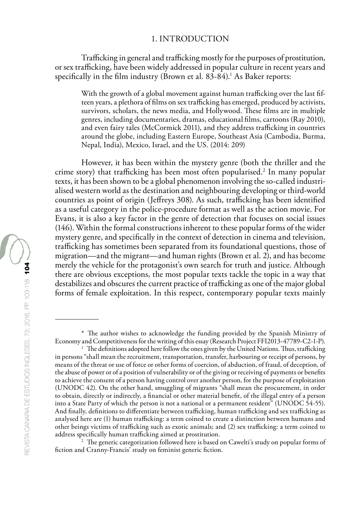Trafficking in general and trafficking mostly for the purposes of prostitution, or sex trafficking, have been widely addressed in popular culture in recent years and specifically in the film industry (Brown et al. 83-84).<sup>1</sup> As Baker reports:

With the growth of a global movement against human trafficking over the last fifteen years, a plethora of films on sex trafficking has emerged, produced by activists, survivors, scholars, the news media, and Hollywood. These films are in multiple genres, including documentaries, dramas, educational films, cartoons (Ray 2010), and even fairy tales (McCormick 2011), and they address trafficking in countries around the globe, including Eastern Europe, Southeast Asia (Cambodia, Burma, Nepal, India), Mexico, Israel, and the US. (2014: 209)

However, it has been within the mystery genre (both the thriller and the crime story) that trafficking has been most often popularised.<sup>2</sup> In many popular texts, it has been shown to be a global phenomenon involving the so-called industrialised western world as the destination and neighbouring developing or third-world countries as point of origin (Jeffreys 308). As such, trafficking has been identified as a useful category in the police-procedure format as well as the action movie. For Evans, it is also a key factor in the genre of detection that focuses on social issues (146). Within the formal constructions inherent to these popular forms of the wider mystery genre, and specifically in the context of detection in cinema and television, trafficking has sometimes been separated from its foundational questions, those of migration—and the migrant—and human rights (Brown et al. 2), and has become merely the vehicle for the protagonist's own search for truth and justice. Although there are obvious exceptions, the most popular texts tackle the topic in a way that destabilizes and obscures the current practice of trafficking as one of the major global forms of female exploitation. In this respect, contemporary popular texts mainly

 $2$  The generic categorization followed here is based on Cawelti's study on popular forms of fiction and Cranny-Francis' study on feminist generic fiction.

<sup>\*</sup> The author wishes to acknowledge the funding provided by the Spanish Ministry of Economy and Competitiveness for the writing of this essay (Research Project FFI2013-47789-C2-1-P).

<sup>&</sup>lt;sup>1</sup> The definitions adopted here follow the ones given by the United Nations. Thus, trafficking in persons "shall mean the recruitment, transportation, transfer, harbouring or receipt of persons, by means of the threat or use of force or other forms of coercion, of abduction, of fraud, of deception, of the abuse of power or of a position of vulnerability or of the giving or receiving of payments or benefits to achieve the consent of a person having control over another person, for the purpose of exploitation (UNODC 42). On the other hand, smuggling of migrants "shall mean the procurement, in order to obtain, directly or indirectly, a financial or other material benefit, of the illegal entry of a person into a State Party of which the person is not a national or a permanent resident" (UNODC 54-55). And finally, definitions to differentiate between trafficking, human trafficking and sex trafficking as analysed here are (1) human trafficking: a term coined to create a distinction between humans and other beings victims of trafficking such as exotic animals; and (2) sex trafficking: a term coined to address specifically human trafficking aimed at prostitution.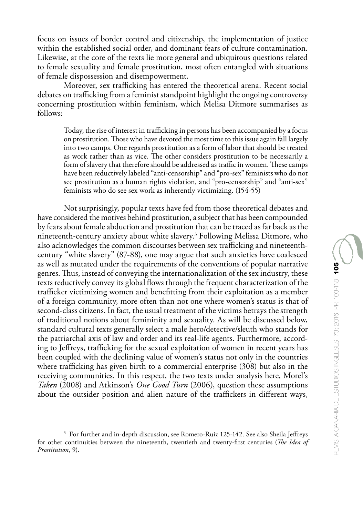focus on issues of border control and citizenship, the implementation of justice within the established social order, and dominant fears of culture contamination. Likewise, at the core of the texts lie more general and ubiquitous questions related to female sexuality and female prostitution, most often entangled with situations of female dispossession and disempowerment.

Moreover, sex trafficking has entered the theoretical arena. Recent social debates on trafficking from a feminist standpoint highlight the ongoing controversy concerning prostitution within feminism, which Melisa Ditmore summarises as follows:

Today, the rise of interest in trafficking in persons has been accompanied by a focus on prostitution. Those who have devoted the most time to this issue again fall largely into two camps. One regards prostitution as a form of labor that should be treated as work rather than as vice. The other considers prostitution to be necessarily a form of slavery that therefore should be addressed as traffic in women. These camps have been reductively labeled "anti-censorship" and "pro-sex" feminists who do not see prostitution as a human rights violation, and "pro-censorship" and "anti-sex" feminists who do see sex work as inherently victimizing. (154-55)

Not surprisingly, popular texts have fed from those theoretical debates and have considered the motives behind prostitution, a subject that has been compounded by fears about female abduction and prostitution that can be traced as far back as the nineteenth-century anxiety about white slavery.3 Following Melissa Ditmore, who also acknowledges the common discourses between sex trafficking and nineteenthcentury "white slavery" (87-88), one may argue that such anxieties have coalesced as well as mutated under the requirements of the conventions of popular narrative genres. Thus, instead of conveying the internationalization of the sex industry, these texts reductively convey its global flows through the frequent characterization of the trafficker victimizing women and benefitting from their exploitation as a member of a foreign community, more often than not one where women's status is that of second-class citizens. In fact, the usual treatment of the victims betrays the strength of traditional notions about femininity and sexuality. As will be discussed below, standard cultural texts generally select a male hero/detective/sleuth who stands for the patriarchal axis of law and order and its real-life agents. Furthermore, according to Jeffreys, trafficking for the sexual exploitation of women in recent years has been coupled with the declining value of women's status not only in the countries where trafficking has given birth to a commercial enterprise (308) but also in the receiving communities. In this respect, the two texts under analysis here, Morel's *Taken* (2008) and Atkinson's *One Good Turn* (2006), question these assumptions about the outsider position and alien nature of the traffickers in different ways,

<sup>&</sup>lt;sup>3</sup> For further and in-depth discussion, see Romero-Ruiz 125-142. See also Sheila Jeffreys for other continuities between the nineteenth, twentieth and twenty-first centuries (*The Idea of Prostitution*, 9).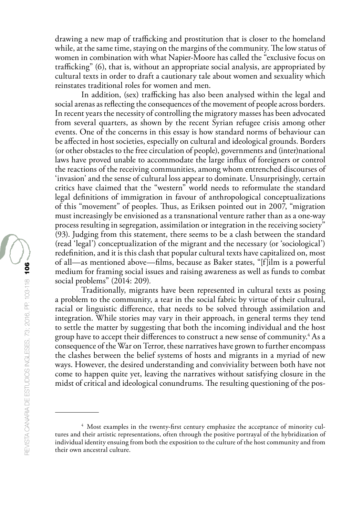drawing a new map of trafficking and prostitution that is closer to the homeland while, at the same time, staying on the margins of the community. The low status of women in combination with what Napier-Moore has called the "exclusive focus on trafficking" (6), that is, without an appropriate social analysis, are appropriated by cultural texts in order to draft a cautionary tale about women and sexuality which reinstates traditional roles for women and men.

In addition, (sex) trafficking has also been analysed within the legal and social arenas as reflecting the consequences of the movement of people across borders. In recent years the necessity of controlling the migratory masses has been advocated from several quarters, as shown by the recent Syrian refugee crisis among other events. One of the concerns in this essay is how standard norms of behaviour can be affected in host societies, especially on cultural and ideological grounds. Borders (or other obstacles to the free circulation of people), governments and (inter)national laws have proved unable to accommodate the large influx of foreigners or control the reactions of the receiving communities, among whom entrenched discourses of 'invasion' and the sense of cultural loss appear to dominate. Unsurprisingly, certain critics have claimed that the "western" world needs to reformulate the standard legal definitions of immigration in favour of anthropological conceptualizations of this "movement" of peoples. Thus, as Eriksen pointed out in 2007, "migration must increasingly be envisioned as a transnational venture rather than as a one-way process resulting in segregation, assimilation or integration in the receiving society" (93). Judging from this statement, there seems to be a clash between the standard (read 'legal') conceptualization of the migrant and the necessary (or 'sociological') redefinition, and it is this clash that popular cultural texts have capitalized on, most of all—as mentioned above—films, because as Baker states, "[f]ilm is a powerful medium for framing social issues and raising awareness as well as funds to combat social problems" (2014: 209).

Traditionally, migrants have been represented in cultural texts as posing a problem to the community, a tear in the social fabric by virtue of their cultural, racial or linguistic difference, that needs to be solved through assimilation and integration. While stories may vary in their approach, in general terms they tend to settle the matter by suggesting that both the incoming individual and the host group have to accept their differences to construct a new sense of community. $^4$  As a consequence of the War on Terror, these narratives have grown to further encompass the clashes between the belief systems of hosts and migrants in a myriad of new ways. However, the desired understanding and conviviality between both have not come to happen quite yet, leaving the narratives without satisfying closure in the midst of critical and ideological conundrums. The resulting questioning of the pos-

<sup>&</sup>lt;sup>4</sup> Most examples in the twenty-first century emphasize the acceptance of minority cultures and their artistic representations, often through the positive portrayal of the hybridization of individual identity ensuing from both the exposition to the culture of the host community and from their own ancestral culture.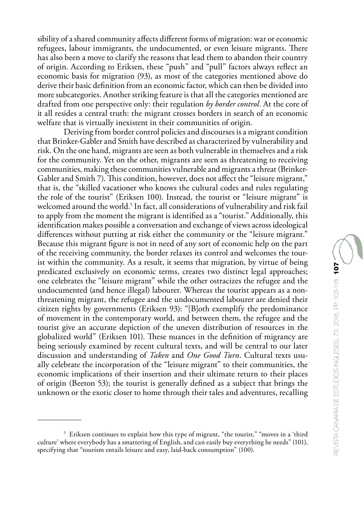sibility of a shared community affects different forms of migration: war or economic refugees, labour immigrants, the undocumented, or even leisure migrants. There has also been a move to clarify the reasons that lead them to abandon their country of origin. According to Eriksen, these "push" and "pull" factors always reflect an economic basis for migration (93), as most of the categories mentioned above do derive their basic definition from an economic factor, which can then be divided into more subcategories. Another striking feature is that all the categories mentioned are drafted from one perspective only: their regulation *by border control*. At the core of it all resides a central truth: the migrant crosses borders in search of an economic welfare that is virtually inexistent in their communities of origin.

Deriving from border control policies and discourses is a migrant condition that Brinker-Gabler and Smith have described as characterized by vulnerability and risk. On the one hand, migrants are seen as both vulnerable in themselves and a risk for the community. Yet on the other, migrants are seen as threatening to receiving communities, making these communities vulnerable and migrants a threat (Brinker-Gabler and Smith 7). This condition, however, does not affect the "leisure migrant," that is, the "skilled vacationer who knows the cultural codes and rules regulating the role of the tourist" (Eriksen 100). Instead, the tourist or "leisure migrant" is welcomed around the world.5 In fact, all considerations of vulnerability and risk fail to apply from the moment the migrant is identified as a "tourist." Additionally, this identification makes possible a conversation and exchange of views across ideological differences without putting at risk either the community or the "leisure migrant." Because this migrant figure is not in need of any sort of economic help on the part of the receiving community, the border relaxes its control and welcomes the tourist within the community. As a result, it seems that migration, by virtue of being predicated exclusively on economic terms, creates two distinct legal approaches; one celebrates the "leisure migrant" while the other ostracizes the refugee and the undocumented (and hence illegal) labourer. Whereas the tourist appears as a nonthreatening migrant, the refugee and the undocumented labourer are denied their citizen rights by governments (Eriksen 93): "[B]oth exemplify the predominance of movement in the contemporary world, and between them, the refugee and the tourist give an accurate depiction of the uneven distribution of resources in the globalized world" (Eriksen 101). These nuances in the definition of migrancy are being seriously examined by recent cultural texts, and will be central to our later discussion and understanding of *Taken* and *One Good Turn*. Cultural texts usually celebrate the incorporation of the "leisure migrant" to their communities, the economic implications of their insertion and their ultimate return to their places of origin (Beeton 53); the tourist is generally defined as a subject that brings the unknown or the exotic closer to home through their tales and adventures, recalling

<sup>5</sup> Eriksen continues to explain how this type of migrant, "the tourist," "moves in a 'third culture' where everybody has a smattering of English, and can easily buy everything he needs" (101), specifying that "tourism entails leisure and easy, laid-back consumption" (100).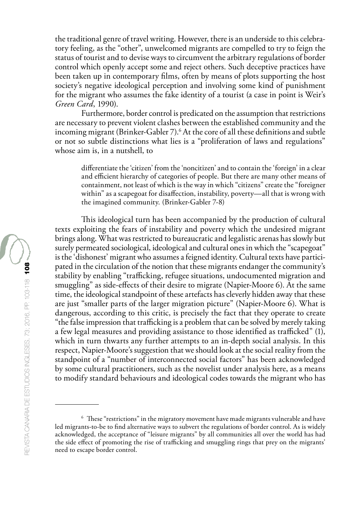the traditional genre of travel writing. However, there is an underside to this celebratory feeling, as the "other", unwelcomed migrants are compelled to try to feign the status of tourist and to devise ways to circumvent the arbitrary regulations of border control which openly accept some and reject others. Such deceptive practices have been taken up in contemporary films, often by means of plots supporting the host society's negative ideological perception and involving some kind of punishment for the migrant who assumes the fake identity of a tourist (a case in point is Weir's *Green Card*, 1990).

Furthermore, border control is predicated on the assumption that restrictions are necessary to prevent violent clashes between the established community and the incoming migrant (Brinker-Gabler 7).6 At the core of all these definitions and subtle or not so subtle distinctions what lies is a "proliferation of laws and regulations" whose aim is, in a nutshell, to

differentiate the 'citizen' from the 'noncitizen' and to contain the 'foreign' in a clear and efficient hierarchy of categories of people. But there are many other means of containment, not least of which is the way in which "citizens" create the "foreigner within" as a scapegoat for disaffection, instability, poverty—all that is wrong with the imagined community. (Brinker-Gabler 7-8)

This ideological turn has been accompanied by the production of cultural texts exploiting the fears of instability and poverty which the undesired migrant brings along. What was restricted to bureaucratic and legalistic arenas has slowly but surely permeated sociological, ideological and cultural ones in which the "scapegoat" is the 'dishonest' migrant who assumes a feigned identity. Cultural texts have participated in the circulation of the notion that these migrants endanger the community's stability by enabling "trafficking, refugee situations, undocumented migration and smuggling" as side-effects of their desire to migrate (Napier-Moore 6). At the same time, the ideological standpoint of these artefacts has cleverly hidden away that these are just "smaller parts of the larger migration picture" (Napier-Moore 6). What is dangerous, according to this critic, is precisely the fact that they operate to create "the false impression that trafficking is a problem that can be solved by merely taking a few legal measures and providing assistance to those identified as trafficked" (1), which in turn thwarts any further attempts to an in-depth social analysis. In this respect, Napier-Moore's suggestion that we should look at the social reality from the standpoint of a "number of interconnected social factors" has been acknowledged by some cultural practitioners, such as the novelist under analysis here, as a means to modify standard behaviours and ideological codes towards the migrant who has

<sup>&</sup>lt;sup>6</sup> These "restrictions" in the migratory movement have made migrants vulnerable and have led migrants-to-be to find alternative ways to subvert the regulations of border control. As is widely acknowledged, the acceptance of "leisure migrants" by all communities all over the world has had the side effect of promoting the rise of trafficking and smuggling rings that prey on the migrants' need to escape border control.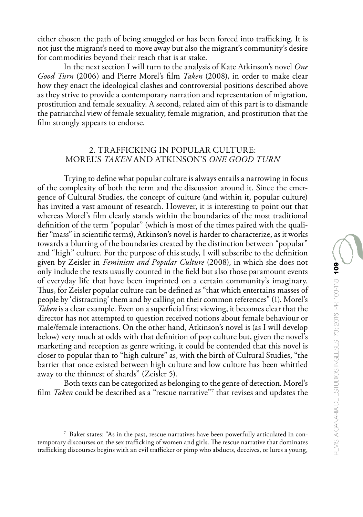either chosen the path of being smuggled or has been forced into trafficking. It is not just the migrant's need to move away but also the migrant's community's desire for commodities beyond their reach that is at stake.

In the next section I will turn to the analysis of Kate Atkinson's novel *One Good Turn* (2006) and Pierre Morel's film *Taken* (2008), in order to make clear how they enact the ideological clashes and controversial positions described above as they strive to provide a contemporary narration and representation of migration, prostitution and female sexuality. A second, related aim of this part is to dismantle the patriarchal view of female sexuality, female migration, and prostitution that the film strongly appears to endorse.

### 2. TRAFFICKING IN POPULAR CULTURE: MOREL'S *TAKEN* AND ATKINSON'S *ONE GOOD TURN*

Trying to define what popular culture is always entails a narrowing in focus of the complexity of both the term and the discussion around it. Since the emergence of Cultural Studies, the concept of culture (and within it, popular culture) has invited a vast amount of research. However, it is interesting to point out that whereas Morel's film clearly stands within the boundaries of the most traditional definition of the term "popular" (which is most of the times paired with the qualifier "mass" in scientific terms), Atkinson's novel is harder to characterize, as it works towards a blurring of the boundaries created by the distinction between "popular" and "high" culture. For the purpose of this study, I will subscribe to the definition given by Zeisler in *Feminism and Popular Culture* (2008), in which she does not only include the texts usually counted in the field but also those paramount events of everyday life that have been imprinted on a certain community's imaginary. Thus, for Zeisler popular culture can be defined as "that which entertains masses of people by 'distracting' them and by calling on their common references" (1). Morel's *Taken* is a clear example. Even on a superficial first viewing, it becomes clear that the director has not attempted to question received notions about female behaviour or male/female interactions. On the other hand, Atkinson's novel is (as I will develop below) very much at odds with that definition of pop culture but, given the novel's marketing and reception as genre writing, it could be contended that this novel is closer to popular than to "high culture" as, with the birth of Cultural Studies, "the barrier that once existed between high culture and low culture has been whittled away to the thinnest of shards" (Zeisler 5).

Both texts can be categorized as belonging to the genre of detection. Morel's film *Taken* could be described as a "rescue narrative"7 that revises and updates the

<sup>7</sup> Baker states: "As in the past, rescue narratives have been powerfully articulated in contemporary discourses on the sex trafficking of women and girls. The rescue narrative that dominates trafficking discourses begins with an evil trafficker or pimp who abducts, deceives, or lures a young,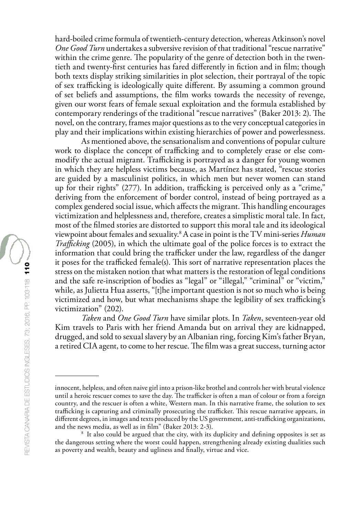hard-boiled crime formula of twentieth-century detection, whereas Atkinson's novel *One Good Turn* undertakes a subversive revision of that traditional "rescue narrative" within the crime genre. The popularity of the genre of detection both in the twentieth and twenty-first centuries has fared differently in fiction and in film; though both texts display striking similarities in plot selection, their portrayal of the topic of sex trafficking is ideologically quite different. By assuming a common ground of set beliefs and assumptions, the film works towards the necessity of revenge, given our worst fears of female sexual exploitation and the formula established by contemporary renderings of the traditional "rescue narratives" (Baker 2013: 2). The novel, on the contrary, frames major questions as to the very conceptual categories in play and their implications within existing hierarchies of power and powerlessness.

As mentioned above, the sensationalism and conventions of popular culture work to displace the concept of trafficking and to completely erase or else commodify the actual migrant. Trafficking is portrayed as a danger for young women in which they are helpless victims because, as Martínez has stated, "rescue stories are guided by a masculinist politics, in which men but never women can stand up for their rights" (277). In addition, trafficking is perceived only as a "crime," deriving from the enforcement of border control, instead of being portrayed as a complex gendered social issue, which affects the migrant. This handling encourages victimization and helplessness and, therefore, creates a simplistic moral tale. In fact, most of the filmed stories are distorted to support this moral tale and its ideological viewpoint about females and sexuality.8 A case in point is the TV mini-series *Human Trafficking* (2005), in which the ultimate goal of the police forces is to extract the information that could bring the trafficker under the law, regardless of the danger it poses for the trafficked female(s). This sort of narrative representation places the stress on the mistaken notion that what matters is the restoration of legal conditions and the safe re-inscription of bodies as "legal" or "illegal," "criminal" or "victim," while, as Julietta Hua asserts, "[t]he important question is not so much who is being victimized and how, but what mechanisms shape the legibility of sex trafficking's victimization" (202).

*Taken* and *One Good Turn* have similar plots. In *Taken*, seventeen-year old Kim travels to Paris with her friend Amanda but on arrival they are kidnapped, drugged, and sold to sexual slavery by an Albanian ring, forcing Kim's father Bryan, a retired CIA agent, to come to her rescue. The film was a great success, turning actor

innocent, helpless, and often naive girl into a prison-like brothel and controls her with brutal violence until a heroic rescuer comes to save the day. The trafficker is often a man of colour or from a foreign country, and the rescuer is often a white, Western man. In this narrative frame, the solution to sex trafficking is capturing and criminally prosecuting the trafficker. This rescue narrative appears, in different degrees, in images and texts produced by the US government, anti-trafficking organizations, and the news media, as well as in film" (Baker 2013: 2-3).

<sup>&</sup>lt;sup>8</sup> It also could be argued that the city, with its duplicity and defining opposites is set as the dangerous setting where the worst could happen, strengthening already existing dualities such as poverty and wealth, beauty and ugliness and finally, virtue and vice.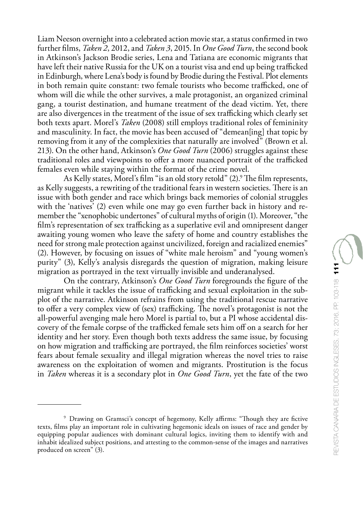Liam Neeson overnight into a celebrated action movie star, a status confirmed in two further films, *Taken 2*, 2012, and *Taken 3*, 2015. In *One Good Turn*, the second book in Atkinson's Jackson Brodie series, Lena and Tatiana are economic migrants that have left their native Russia for the UK on a tourist visa and end up being trafficked in Edinburgh, where Lena's body is found by Brodie during the Festival. Plot elements in both remain quite constant: two female tourists who become trafficked, one of whom will die while the other survives, a male protagonist, an organized criminal gang, a tourist destination, and humane treatment of the dead victim. Yet, there are also divergences in the treatment of the issue of sex trafficking which clearly set both texts apart. Morel's *Taken* (2008) still employs traditional roles of femininity and masculinity. In fact, the movie has been accused of "demean[ing] that topic by removing from it any of the complexities that naturally are involved" (Brown et al. 213). On the other hand, Atkinson's *One Good Turn* (2006) struggles against these traditional roles and viewpoints to offer a more nuanced portrait of the trafficked females even while staying within the format of the crime novel.

As Kelly states, Morel's film "is an old story retold" (2).<sup>9</sup> The film represents, as Kelly suggests, a rewriting of the traditional fears in western societies. There is an issue with both gender and race which brings back memories of colonial struggles with the 'natives' (2) even while one may go even further back in history and remember the "xenophobic undertones" of cultural myths of origin (1). Moreover, "the film's representation of sex trafficking as a superlative evil and omnipresent danger awaiting young women who leave the safety of home and country establishes the need for strong male protection against uncivilized, foreign and racialized enemies" (2). However, by focusing on issues of "white male heroism" and "young women's purity" (3), Kelly's analysis disregards the question of migration, making leisure migration as portrayed in the text virtually invisible and underanalysed.

On the contrary, Atkinson's *One Good Turn* foregrounds the figure of the migrant while it tackles the issue of trafficking and sexual exploitation in the subplot of the narrative. Atkinson refrains from using the traditional rescue narrative to offer a very complex view of (sex) trafficking. The novel's protagonist is not the all-powerful avenging male hero Morel is partial to, but a PI whose accidental discovery of the female corpse of the trafficked female sets him off on a search for her identity and her story. Even though both texts address the same issue, by focusing on how migration and trafficking are portrayed, the film reinforces societies' worst fears about female sexuality and illegal migration whereas the novel tries to raise awareness on the exploitation of women and migrants. Prostitution is the focus in *Taken* whereas it is a secondary plot in *One Good Turn*, yet the fate of the two

<sup>9</sup> Drawing on Gramsci's concept of hegemony, Kelly affirms: "Though they are fictive texts, films play an important role in cultivating hegemonic ideals on issues of race and gender by equipping popular audiences with dominant cultural logics, inviting them to identify with and inhabit idealized subject positions, and attesting to the common-sense of the images and narratives produced on screen" (3).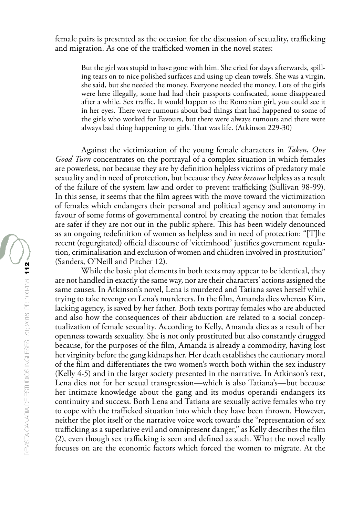female pairs is presented as the occasion for the discussion of sexuality, trafficking and migration. As one of the trafficked women in the novel states:

But the girl was stupid to have gone with him. She cried for days afterwards, spilling tears on to nice polished surfaces and using up clean towels. She was a virgin, she said, but she needed the money. Everyone needed the money. Lots of the girls were here illegally, some had had their passports confiscated, some disappeared after a while. Sex traffic. It would happen to the Romanian girl, you could see it in her eyes. There were rumours about bad things that had happened to some of the girls who worked for Favours, but there were always rumours and there were always bad thing happening to girls. That was life. (Atkinson 229-30)

Against the victimization of the young female characters in *Taken*, *One Good Turn* concentrates on the portrayal of a complex situation in which females are powerless, not because they are by definition helpless victims of predatory male sexuality and in need of protection, but because they *have become* helpless as a result of the failure of the system law and order to prevent trafficking (Sullivan 98-99). In this sense, it seems that the film agrees with the move toward the victimization of females which endangers their personal and political agency and autonomy in favour of some forms of governmental control by creating the notion that females are safer if they are not out in the public sphere. This has been widely denounced as an ongoing redefinition of women as helpless and in need of protection: "[T]he recent (regurgitated) official discourse of 'victimhood' justifies government regulation, criminalisation and exclusion of women and children involved in prostitution" (Sanders, O'Neill and Pitcher 12).

While the basic plot elements in both texts may appear to be identical, they are not handled in exactly the same way, nor are their characters' actions assigned the same causes. In Atkinson's novel, Lena is murdered and Tatiana saves herself while trying to take revenge on Lena's murderers. In the film, Amanda dies whereas Kim, lacking agency, is saved by her father. Both texts portray females who are abducted and also how the consequences of their abduction are related to a social conceptualization of female sexuality. According to Kelly, Amanda dies as a result of her openness towards sexuality. She is not only prostituted but also constantly drugged because, for the purposes of the film, Amanda is already a commodity, having lost her virginity before the gang kidnaps her. Her death establishes the cautionary moral of the film and differentiates the two women's worth both within the sex industry (Kelly 4-5) and in the larger society presented in the narrative. In Atkinson's text, Lena dies not for her sexual transgression—which is also Tatiana's—but because her intimate knowledge about the gang and its modus operandi endangers its continuity and success. Both Lena and Tatiana are sexually active females who try to cope with the trafficked situation into which they have been thrown. However, neither the plot itself or the narrative voice work towards the "representation of sex trafficking as a superlative evil and omnipresent danger," as Kelly describes the film (2), even though sex trafficking is seen and defined as such. What the novel really focuses on are the economic factors which forced the women to migrate. At the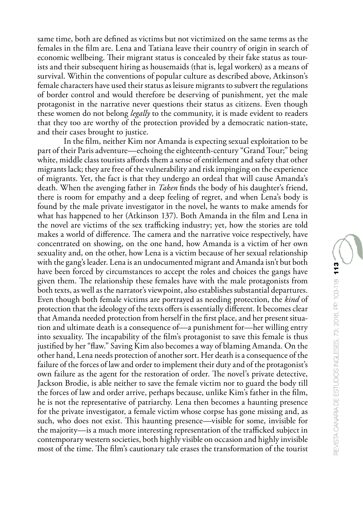same time, both are defined as victims but not victimized on the same terms as the females in the film are. Lena and Tatiana leave their country of origin in search of economic wellbeing. Their migrant status is concealed by their fake status as tourists and their subsequent hiring as housemaids (that is, legal workers) as a means of survival. Within the conventions of popular culture as described above, Atkinson's female characters have used their status as leisure migrants to subvert the regulations of border control and would therefore be deserving of punishment, yet the male protagonist in the narrative never questions their status as citizens. Even though these women do not belong *legally* to the community, it is made evident to readers that they too are worthy of the protection provided by a democratic nation-state, and their cases brought to justice.

In the film, neither Kim nor Amanda is expecting sexual exploitation to be part of their Paris adventure—echoing the eighteenth-century "Grand Tour;" being white, middle class tourists affords them a sense of entitlement and safety that other migrants lack; they are free of the vulnerability and risk impinging on the experience of migrants. Yet, the fact is that they undergo an ordeal that will cause Amanda's death. When the avenging father in *Taken* finds the body of his daughter's friend, there is room for empathy and a deep feeling of regret, and when Lena's body is found by the male private investigator in the novel, he wants to make amends for what has happened to her (Atkinson 137). Both Amanda in the film and Lena in the novel are victims of the sex trafficking industry; yet, how the stories are told makes a world of difference. The camera and the narrative voice respectively, have concentrated on showing, on the one hand, how Amanda is a victim of her own sexuality and, on the other, how Lena is a victim because of her sexual relationship with the gang's leader. Lena is an undocumented migrant and Amanda isn't but both have been forced by circumstances to accept the roles and choices the gangs have given them. The relationship these females have with the male protagonists from both texts, as well as the narrator's viewpoint, also establishes substantial departures. Even though both female victims are portrayed as needing protection, the *kind* of protection that the ideology of the texts offers is essentially different. It becomes clear that Amanda needed protection from herself in the first place, and her present situation and ultimate death is a consequence of—a punishment for—her willing entry into sexuality. The incapability of the film's protagonist to save this female is thus justified by her "flaw." Saving Kim also becomes a way of blaming Amanda. On the other hand, Lena needs protection of another sort. Her death is a consequence of the failure of the forces of law and order to implement their duty and of the protagonist's own failure as the agent for the restoration of order. The novel's private detective, Jackson Brodie, is able neither to save the female victim nor to guard the body till the forces of law and order arrive, perhaps because, unlike Kim's father in the film, he is not the representative of patriarchy. Lena then becomes a haunting presence for the private investigator, a female victim whose corpse has gone missing and, as such, who does not exist. This haunting presence—visible for some, invisible for the majority—is a much more interesting representation of the trafficked subject in contemporary western societies, both highly visible on occasion and highly invisible most of the time. The film's cautionary tale erases the transformation of the tourist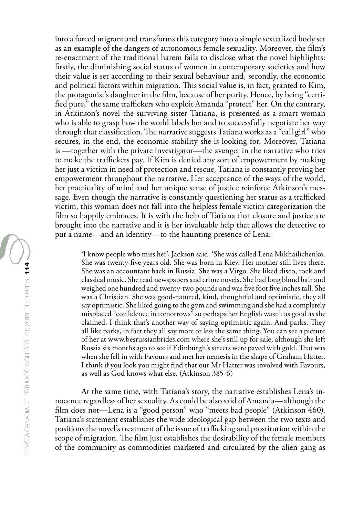into a forced migrant and transforms this category into a simple sexualized body set as an example of the dangers of autonomous female sexuality. Moreover, the film's re-enactment of the traditional harem fails to disclose what the novel highlights: firstly, the diminishing social status of women in contemporary societies and how their value is set according to their sexual behaviour and, secondly, the economic and political factors within migration. This social value is, in fact, granted to Kim, the protagonist's daughter in the film, because of her purity. Hence, by being "certified pure," the same traffickers who exploit Amanda "protect" her. On the contrary, in Atkinson's novel the surviving sister Tatiana, is presented as a smart woman who is able to grasp how the world labels her and to successfully negotiate her way through that classification. The narrative suggests Tatiana works as a "call girl" who secures, in the end, the economic stability she is looking for. Moreover, Tatiana is —together with the private investigator—the avenger in the narrative who tries to make the traffickers pay. If Kim is denied any sort of empowerment by making her just a victim in need of protection and rescue, Tatiana is constantly proving her empowerment throughout the narrative. Her acceptance of the ways of the world, her practicality of mind and her unique sense of justice reinforce Atkinson's message. Even though the narrative is constantly questioning her status as a trafficked victim, this woman does not fall into the helpless female victim categorization the film so happily embraces. It is with the help of Tatiana that closure and justice are brought into the narrative and it is her invaluable help that allows the detective to put a name—and an identity—to the haunting presence of Lena:

'I know people who miss her', Jackson said. 'She was called Lena Mikhailichenko. She was twenty-five years old. She was born in Kiev. Her mother still lives there. She was an accountant back in Russia. She was a Virgo. She liked disco, rock and classical music. She read newspapers and crime novels. She had long blond hair and weighed one hundred and twenty-two pounds and was five foot five inches tall. She was a Christian. She was good-natured, kind, thoughtful and optimistic, they all say optimistic. She liked going to the gym and swimming and she had a completely misplaced "confidence in tomorrows" so perhaps her English wasn't as good as she claimed. I think that's another way of saying optimistic again. And parks. They all like parks, in fact they all say more or less the same thing. You can see a picture of her at www.besrussianbrides.com where she's still up for sale, although she left Russia six months ago to see if Edinburgh's streets were paved with gold. That was when she fell in with Favours and met her nemesis in the shape of Graham Hatter. I think if you look you might find that our Mr Hatter was involved with Favours, as well as God knows what else. (Atkinson 385-6)

At the same time, with Tatiana's story, the narrative establishes Lena's innocence regardless of her sexuality. As could be also said of Amanda—although the film does not—Lena is a "good person" who "meets bad people" (Atkinson 460). Tatiana's statement establishes the wide ideological gap between the two texts and positions the novel's treatment of the issue of trafficking and prostitution within the scope of migration. The film just establishes the desirability of the female members of the community as commodities marketed and circulated by the alien gang as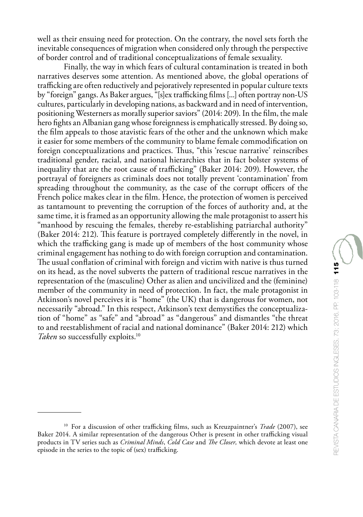well as their ensuing need for protection. On the contrary, the novel sets forth the inevitable consequences of migration when considered only through the perspective of border control and of traditional conceptualizations of female sexuality.

Finally, the way in which fears of cultural contamination is treated in both narratives deserves some attention. As mentioned above, the global operations of trafficking are often reductively and pejoratively represented in popular culture texts by "foreign" gangs. As Baker argues, "[s]ex trafficking films [...] often portray non-US cultures, particularly in developing nations, as backward and in need of intervention, positioning Westerners as morally superior saviors" (2014: 209). In the film, the male hero fights an Albanian gang whose foreignness is emphatically stressed. By doing so, the film appeals to those atavistic fears of the other and the unknown which make it easier for some members of the community to blame female commodification on foreign conceptualizations and practices. Thus, "this 'rescue narrative' reinscribes traditional gender, racial, and national hierarchies that in fact bolster systems of inequality that are the root cause of trafficking" (Baker 2014: 209). However, the portrayal of foreigners as criminals does not totally prevent 'contamination' from spreading throughout the community, as the case of the corrupt officers of the French police makes clear in the film. Hence, the protection of women is perceived as tantamount to preventing the corruption of the forces of authority and, at the same time, it is framed as an opportunity allowing the male protagonist to assert his "manhood by rescuing the females, thereby re-establishing patriarchal authority" (Baker 2014: 212). This feature is portrayed completely differently in the novel, in which the trafficking gang is made up of members of the host community whose criminal engagement has nothing to do with foreign corruption and contamination. The usual conflation of criminal with foreign and victim with native is thus turned on its head, as the novel subverts the pattern of traditional rescue narratives in the representation of the (masculine) Other as alien and uncivilized and the (feminine) member of the community in need of protection. In fact, the male protagonist in Atkinson's novel perceives it is "home" (the UK) that is dangerous for women, not necessarily "abroad." In this respect, Atkinson's text demystifies the conceptualization of "home" as "safe" and "abroad" as "dangerous" and dismantles "the threat to and reestablishment of racial and national dominance" (Baker 2014: 212) which *Taken* so successfully exploits.<sup>10</sup>

<sup>&</sup>lt;sup>10</sup> For a discussion of other trafficking films, such as Kreuzpaintner's *Trade* (2007), see Baker 2014. A similar representation of the dangerous Other is present in other trafficking visual products in TV series such as *Criminal Minds*, *Cold Case* and *The Closer,* which devote at least one episode in the series to the topic of (sex) trafficking.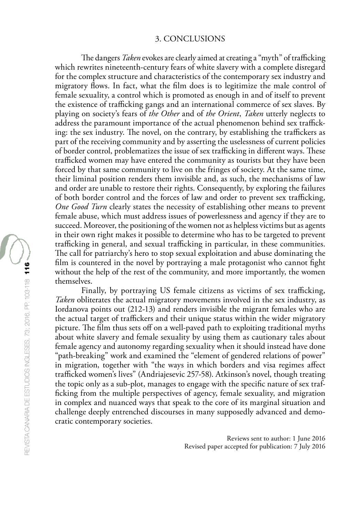#### 3. CONCLUSIONS

The dangers *Taken* evokes are clearly aimed at creating a "myth" of trafficking which rewrites nineteenth-century fears of white slavery with a complete disregard for the complex structure and characteristics of the contemporary sex industry and migratory flows. In fact, what the film does is to legitimize the male control of female sexuality, a control which is promoted as enough in and of itself to prevent the existence of trafficking gangs and an international commerce of sex slaves. By playing on society's fears of *the Other* and of *the Orient*, *Taken* utterly neglects to address the paramount importance of the actual phenomenon behind sex trafficking: the sex industry. The novel, on the contrary, by establishing the traffickers as part of the receiving community and by asserting the uselessness of current policies of border control, problematizes the issue of sex trafficking in different ways. These trafficked women may have entered the community as tourists but they have been forced by that same community to live on the fringes of society. At the same time, their liminal position renders them invisible and, as such, the mechanisms of law and order are unable to restore their rights. Consequently, by exploring the failures of both border control and the forces of law and order to prevent sex trafficking, *One Good Turn* clearly states the necessity of establishing other means to prevent female abuse, which must address issues of powerlessness and agency if they are to succeed. Moreover, the positioning of the women not as helpless victims but as agents in their own right makes it possible to determine who has to be targeted to prevent trafficking in general, and sexual trafficking in particular, in these communities. The call for patriarchy's hero to stop sexual exploitation and abuse dominating the film is countered in the novel by portraying a male protagonist who cannot fight without the help of the rest of the community, and more importantly, the women themselves.

Finally, by portraying US female citizens as victims of sex trafficking, *Taken* obliterates the actual migratory movements involved in the sex industry, as Iordanova points out (212-13) and renders invisible the migrant females who are the actual target of traffickers and their unique status within the wider migratory picture. The film thus sets off on a well-paved path to exploiting traditional myths about white slavery and female sexuality by using them as cautionary tales about female agency and autonomy regarding sexuality when it should instead have done "path-breaking" work and examined the "element of gendered relations of power" in migration, together with "the ways in which borders and visa regimes affect trafficked women's lives" (Andriajesevic 257-58). Atkinson's novel, though treating the topic only as a sub-plot, manages to engage with the specific nature of sex trafficking from the multiple perspectives of agency, female sexuality, and migration in complex and nuanced ways that speak to the core of its marginal situation and challenge deeply entrenched discourses in many supposedly advanced and democratic contemporary societies.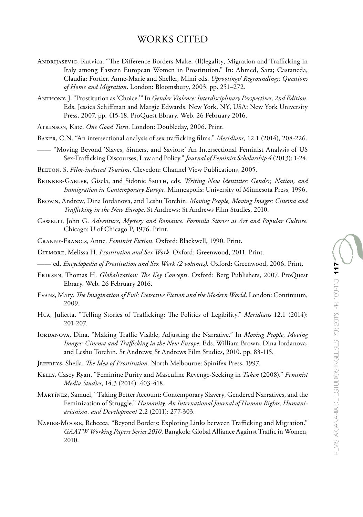# WORKS CITED

- Andrijasevic, Rutvica. "The Difference Borders Make: (Il)legality, Migration and Trafficking in Italy among Eastern European Women in Prostitution." In: Ahmed, Sara; Castaneda, Claudia; Fortier, Anne-Marie and Sheller, Mimi eds. *Uprootings/ Regroundings: Questions of Home and Migration*. London: Bloomsbury, 2003. pp. 251–272.
- Anthony, J. "Prostitution as 'Choice.'" In *Gender Violence: Interdisciplinary Perspectives, 2nd Edition*. Eds. Jessica Schiffman and Margie Edwards. New York, NY, USA: New York University Press, 2007. pp. 415-18. ProQuest Ebrary. Web. 26 February 2016.
- Atkinson, Kate. *One Good Turn*. London: Doubleday, 2006. Print.
- Baker, C.N. "An intersectional analysis of sex trafficking films." *Meridians,* 12.1 (2014), 208-226.
- —— "Moving Beyond 'Slaves, Sinners, and Saviors:' An Intersectional Feminist Analysis of US Sex-Trafficking Discourses, Law and Policy." *Journal of Feminist Scholarship 4* (2013): 1-24.
- Beeton, S. *Film-induced Tourism*. Clevedon: Channel View Publications, 2005.
- Brinker-Gabler, Gisela, and Sidonie Smith, eds. *Writing New Identities: Gender, Nation, and Immigration in Contemporary Europe*. Minneapolis: University of Minnesota Press, 1996.
- Brown, Andrew, Dina Iordanova, and Leshu Torchin. *Moving People, Moving Images: Cinema and Trafficking in the New Europe*. St Andrews: St Andrews Film Studies, 2010.
- Cawelti, John G. *Adventure, Mystery and Romance. Formula Stories as Art and Popular Culture*. Chicago: U of Chicago P, 1976. Print.
- Cranny-Francis, Anne. *Feminist Fiction*. Oxford: Blackwell, 1990. Print.
- Ditmore, Melissa H. *Prostitution and Sex Work*. Oxford: Greenwood, 2011. Print.
- —— ed. *Encyclopedia of Prostitution and Sex Work (2 volumes)*. Oxford: Greenwood, 2006. Print.
- Eriksen, Thomas H. *Globalization: The Key Concepts*. Oxford: Berg Publishers, 2007. ProQuest Ebrary. Web. 26 February 2016.
- Evans, Mary. *The Imagination of Evil: Detective Fiction and the Modern World*. London: Continuum, 2009.
- Hua, Julietta. "Telling Stories of Trafficking: The Politics of Legibility." *Meridians* 12.1 (2014): 201-207.
- Iordanova, Dina. "Making Traffic Visible, Adjusting the Narrative." In *Moving People, Moving Images: Cinema and Trafficking in the New Europe*. Eds. William Brown, Dina Iordanova, and Leshu Torchin. St Andrews: St Andrews Film Studies, 2010. pp. 83-115.
- Jeffreys, Sheila. *The Idea of Prostitution*. North Melbourne: Spinifex Press, 1997.
- Kelly, Casey Ryan. "Feminine Purity and Masculine Revenge-Seeking in *Taken* (2008)." *Feminist Media Studies*, 14.3 (2014): 403-418.
- Martínez, Samuel, "Taking Better Account: Contemporary Slavery, Gendered Narratives, and the Feminization of Struggle." *Humanity: An International Journal of Human Rights, Humaniarianism, and Development* 2.2 (2011): 277-303.
- Napier-Moore, Rebecca. "Beyond Borders: Exploring Links between Trafficking and Migration." *GAATW Working Papers Series 2010*. Bangkok: Global Alliance Against Traffic in Women, 2010.